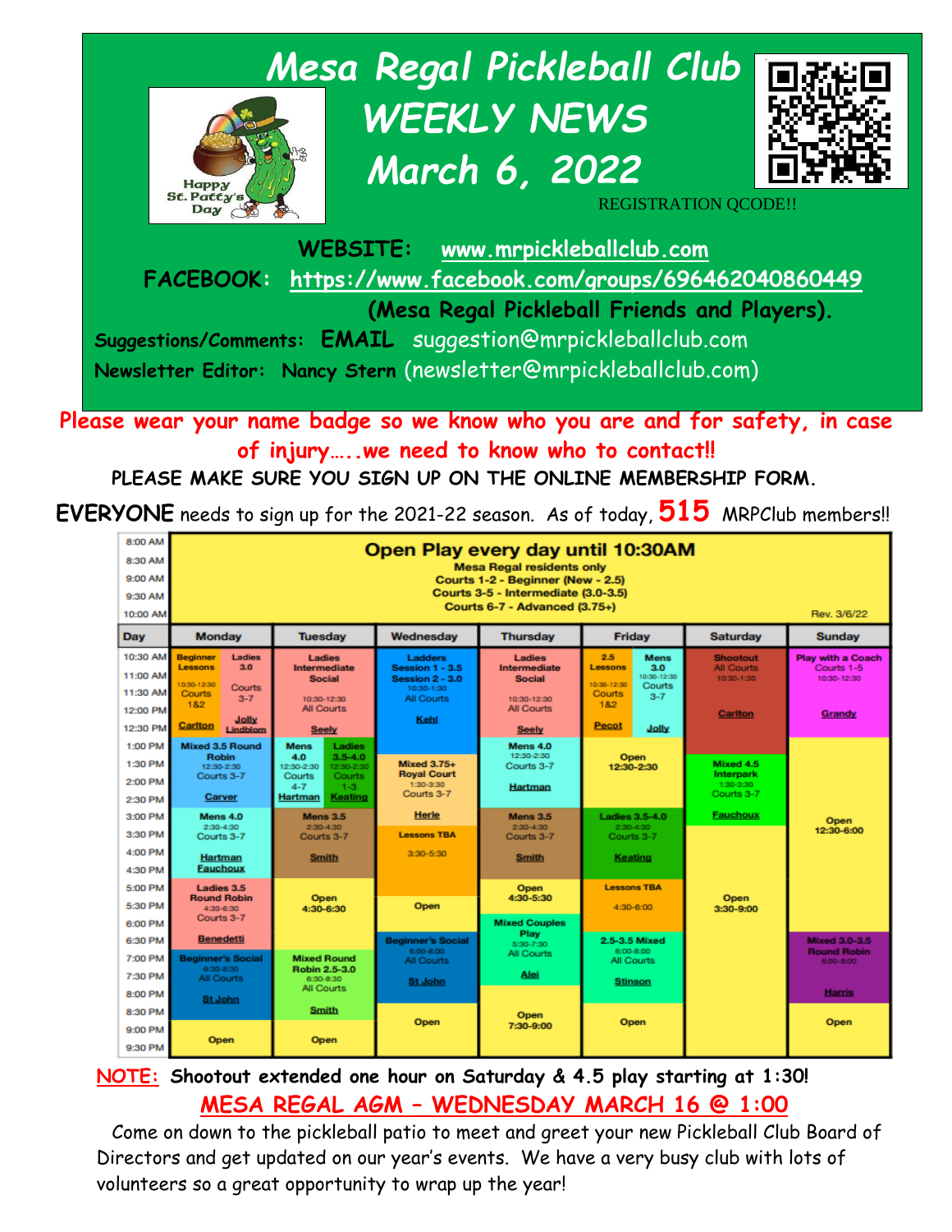

**Please wear your name badge so we know who you are and for safety, in case of injury…..we need to know who to contact!!**

**PLEASE MAKE SURE YOU SIGN UP ON THE ONLINE MEMBERSHIP FORM.** 

**EVERYONE** needs to sign up for the 2021-22 season. As of today, **515** MRPClub members!!

| 8:00 AM<br>8:30 AM<br>9:00 AM<br>9:30 AM<br>10:00 AM | Open Play every day until 10:30AM<br><b>Mesa Regal residents only</b><br>Courts 1-2 - Beginner (New - 2.5)<br>Courts 3-5 - Intermediate (3.0-3.5)<br>Courts 6-7 - Advanced (3.75+)<br>Rev. 3/6/22 |                                                                                                                                         |                                                                                                |                                                                             |                                                                                                          |                                                                      |                                                                 |  |
|------------------------------------------------------|---------------------------------------------------------------------------------------------------------------------------------------------------------------------------------------------------|-----------------------------------------------------------------------------------------------------------------------------------------|------------------------------------------------------------------------------------------------|-----------------------------------------------------------------------------|----------------------------------------------------------------------------------------------------------|----------------------------------------------------------------------|-----------------------------------------------------------------|--|
| Dav                                                  | <b>Monday</b><br><b>Tuesdav</b>                                                                                                                                                                   |                                                                                                                                         | Wednesdav                                                                                      | <b>Thursday</b>                                                             | <b>Friday</b>                                                                                            | <b>Saturday</b>                                                      | <b>Sunday</b>                                                   |  |
| 10:30 AM<br>11:00 AM<br>11:30 AM<br>12:00 PM         | <b>Ladies</b><br><b>Beginner</b><br>3.0<br><b>Lessons</b><br>0:30-12:30<br>Courts<br><b>Courts</b><br>$3 - 7$<br>182                                                                              | Ladies<br><b>Intermediate</b><br><b>Social</b><br>10:30-12:30<br><b>All Courts</b>                                                      | Ladders<br><b>Session 1 - 3.5</b><br><b>Session 2 - 3.0</b><br>10:30-1:30<br><b>All Courts</b> | Ladies<br>Intermediate<br><b>Social</b><br>10:30-12:30<br><b>All Courts</b> | 2.5<br><b>Mens</b><br>3.0<br>Lessons<br>10:30-12:30<br>10:30-12:30<br>Courts<br>Courts<br>$3 - 7$<br>182 | <b>Shootout</b><br><b>All Courts</b><br>10:30-1:30<br><b>Carlton</b> | <b>Play with a Coach</b><br>Courts 1-5<br>10:30-12:30<br>Grandy |  |
| 12:30 PM                                             | Jolly<br>Carlton<br>Lindblom                                                                                                                                                                      | <b>Seely</b>                                                                                                                            | Kehl                                                                                           | <b>Seely</b>                                                                | <b>Pecot</b><br>Jolly                                                                                    |                                                                      |                                                                 |  |
| 1:00 PM<br>1:30 PM<br>2:00 PM<br>2:30 PM             | <b>Mixed 3.5 Round</b><br><b>Robin</b><br>12:30-2:30<br>Courts 3-7<br>Carver                                                                                                                      | <b>Mens</b><br>Ladies<br>4.0<br>$3.5 - 4.0$<br>12:30-2:30<br>12:30-2:30<br>Courts<br>Courts<br>$4 - 7$<br>$1 - 3$<br>Keating<br>Hartman | <b>Mixed 3.75+</b><br><b>Royal Court</b><br>1:30-3:30<br>Courts 3-7                            | Mens 4.0<br>12:30-2:30<br>Courts 3-7<br>Hartman                             | Open<br>12:30-2:30                                                                                       | Mixed 4.5<br><b>Interpark</b><br>1:30-3:30<br>Courts 3-7             |                                                                 |  |
| 3:00 PM                                              | Mens 4.0<br>2:30-4:30                                                                                                                                                                             | <b>Mens 3.5</b><br>2:30-4:30                                                                                                            | <b>Herle</b>                                                                                   | Mens 3.5<br>$2:30-4:30$                                                     | <b>Ladies 3.5-4.0</b><br>$2:30-4:30$                                                                     | <b>Fauchoux</b>                                                      | Open                                                            |  |
| 3:30 PM                                              | Courts 3-7                                                                                                                                                                                        | Courts 3-7                                                                                                                              | <b>Lessons TBA</b>                                                                             | Courts 3-7                                                                  | Courts 3-7                                                                                               |                                                                      | 12:30-6:00                                                      |  |
| 4:00 PM<br>4:30 PM                                   | Hartman<br><b>Fauchoux</b>                                                                                                                                                                        | <b>Smith</b>                                                                                                                            | $3:30 - 5:30$                                                                                  | <b>Smith</b>                                                                | Keating                                                                                                  |                                                                      |                                                                 |  |
| 5:00 PM<br>5:30 PM<br>6:00 PM                        | Ladies 3.5<br><b>Round Robin</b><br>4:30-6:30<br>Courts 3-7                                                                                                                                       | <b>Open</b><br>4:30-6:30                                                                                                                | Open                                                                                           | <b>Open</b><br>4:30-5:30<br><b>Mixed Couples</b>                            | <b>Lessons TBA</b><br>4:30-6:00                                                                          | Open<br>3:30-9:00                                                    |                                                                 |  |
| 6:30 PM                                              | <b>Benedetti</b>                                                                                                                                                                                  |                                                                                                                                         | <b>Beginner's Social</b>                                                                       | Play<br>5:30-7:30                                                           | 2.5-3.5 Mixed                                                                                            |                                                                      | <b>Mixed 3.0-3.5</b>                                            |  |
| 7:00 PM                                              | <b>Beginner's Social</b><br>6:30-8:30                                                                                                                                                             | <b>Mixed Round</b>                                                                                                                      | 6:00-8:00<br>All Courts                                                                        | <b>All Courts</b>                                                           | 6:00-8:00<br>All Courts                                                                                  |                                                                      | <b>Round Robin</b><br>6:00-8:00                                 |  |
| 7:30 PM                                              | <b>All Courts</b>                                                                                                                                                                                 | Robin 2.5-3.0<br>6:30-8:30<br>All Courts                                                                                                | <b>St John</b>                                                                                 | Alei                                                                        | <b>Stinson</b>                                                                                           |                                                                      |                                                                 |  |
| 8:00 PM                                              | <b>St John</b>                                                                                                                                                                                    |                                                                                                                                         |                                                                                                | Open<br>7:30-9:00                                                           |                                                                                                          |                                                                      | <b>Harris</b>                                                   |  |
| 8:30 PM                                              |                                                                                                                                                                                                   | <b>Smith</b>                                                                                                                            | Open                                                                                           |                                                                             | Open                                                                                                     |                                                                      | Open                                                            |  |
| 9:00 PM<br>9:30 PM                                   | <b>Open</b>                                                                                                                                                                                       | <b>Open</b>                                                                                                                             |                                                                                                |                                                                             |                                                                                                          |                                                                      |                                                                 |  |

**NOTE: Shootout extended one hour on Saturday & 4.5 play starting at 1:30! MESA REGAL AGM – WEDNESDAY MARCH 16 @ 1:00**

Come on down to the pickleball patio to meet and greet your new Pickleball Club Board of Directors and get updated on our year's events. We have a very busy club with lots of volunteers so a great opportunity to wrap up the year!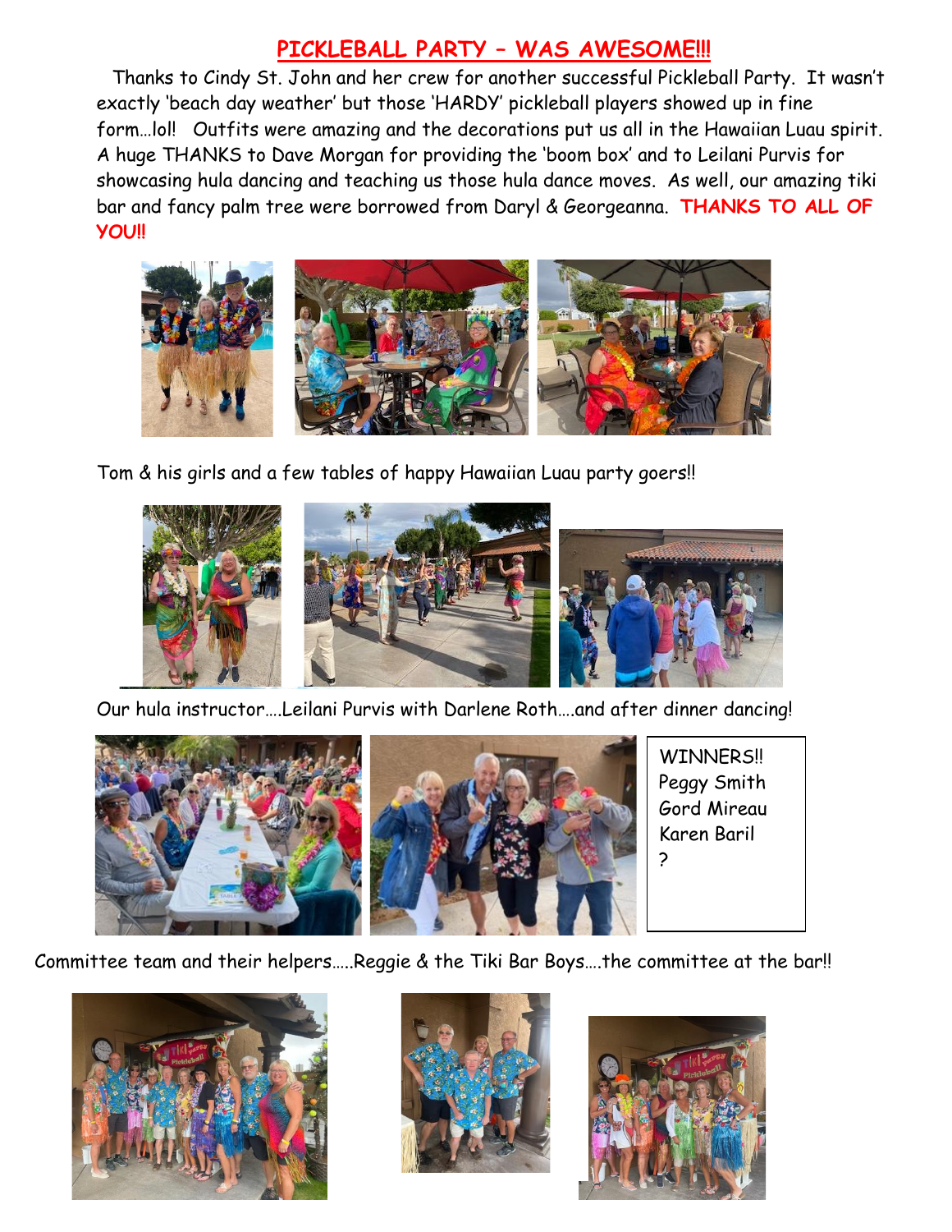#### **PICKLEBALL PARTY – WAS AWESOME!!!**

Thanks to Cindy St. John and her crew for another successful Pickleball Party. It wasn't exactly 'beach day weather' but those 'HARDY' pickleball players showed up in fine form…lol! Outfits were amazing and the decorations put us all in the Hawaiian Luau spirit. A huge THANKS to Dave Morgan for providing the 'boom box' and to Leilani Purvis for showcasing hula dancing and teaching us those hula dance moves. As well, our amazing tiki bar and fancy palm tree were borrowed from Daryl & Georgeanna. **THANKS TO ALL OF YOU!!**



Tom & his girls and a few tables of happy Hawaiian Luau party goers!!



Our hula instructor….Leilani Purvis with Darlene Roth….and after dinner dancing!



Committee team and their helpers…..Reggie & the Tiki Bar Boys….the committee at the bar!!





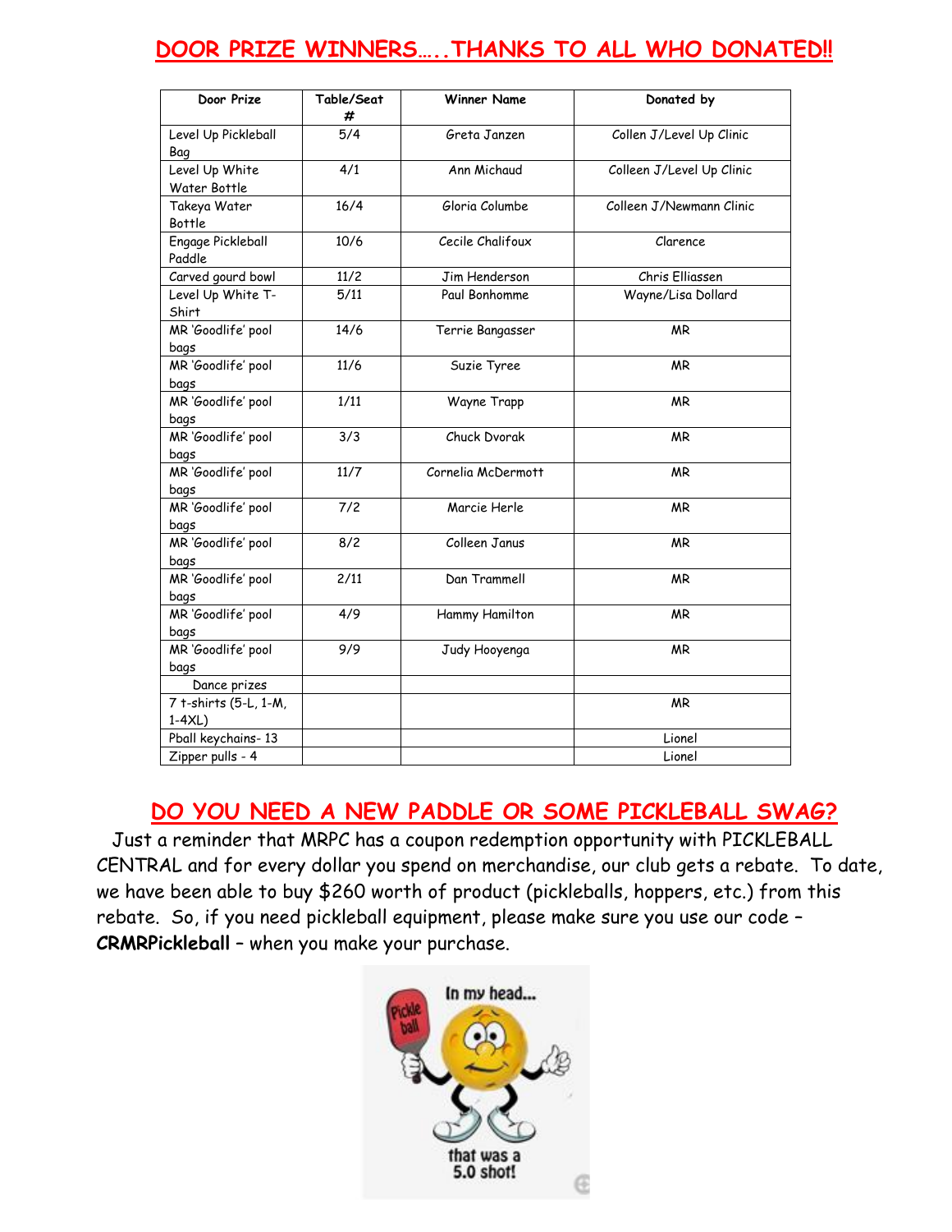## **DOOR PRIZE WINNERS…..THANKS TO ALL WHO DONATED!!**

| Door Prize                       | Table/Seat<br># | <b>Winner Name</b> | Donated by                |
|----------------------------------|-----------------|--------------------|---------------------------|
| Level Up Pickleball<br>Bag       | 5/4             | Greta Janzen       | Collen J/Level Up Clinic  |
| Level Up White<br>Water Bottle   | 4/1             | Ann Michaud        | Colleen J/Level Up Clinic |
| Takeya Water<br>Bottle           | 16/4            | Gloria Columbe     | Colleen J/Newmann Clinic  |
| Engage Pickleball<br>Paddle      | 10/6            | Cecile Chalifoux   | Clarence                  |
| Carved gourd bowl                | 11/2            | Jim Henderson      | Chris Elliassen           |
| Level Up White T-<br>Shirt       | 5/11            | Paul Bonhomme      | Wayne/Lisa Dollard        |
| MR 'Goodlife' pool<br>bags       | 14/6            | Terrie Bangasser   | <b>MR</b>                 |
| MR 'Goodlife' pool<br>bags       | 11/6            | Suzie Tyree        | <b>MR</b>                 |
| MR 'Goodlife' pool<br>bags       | 1/11            | Wayne Trapp        | <b>MR</b>                 |
| MR 'Goodlife' pool<br>bags       | 3/3             | Chuck Dvorak       | ΜR                        |
| MR 'Goodlife' pool<br>bags       | 11/7            | Cornelia McDermott | <b>MR</b>                 |
| MR 'Goodlife' pool<br>bags       | 7/2             | Marcie Herle       | <b>MR</b>                 |
| MR 'Goodlife' pool<br>bags       | 8/2             | Colleen Janus      | <b>MR</b>                 |
| MR 'Goodlife' pool<br>bags       | 2/11            | Dan Trammell       | <b>MR</b>                 |
| MR 'Goodlife' pool<br>bags       | 4/9             | Hammy Hamilton     | <b>MR</b>                 |
| MR 'Goodlife' pool<br>bags       | 9/9             | Judy Hooyenga      | <b>MR</b>                 |
| Dance prizes                     |                 |                    |                           |
| 7 t-shirts (5-L, 1-M,<br>$1-4XL$ |                 |                    | <b>MR</b>                 |
| Pball keychains-13               |                 |                    | Lionel                    |
| Zipper pulls - 4                 |                 |                    | Lionel                    |

## **DO YOU NEED A NEW PADDLE OR SOME PICKLEBALL SWAG?**

Just a reminder that MRPC has a coupon redemption opportunity with PICKLEBALL CENTRAL and for every dollar you spend on merchandise, our club gets a rebate. To date, we have been able to buy \$260 worth of product (pickleballs, hoppers, etc.) from this rebate. So, if you need pickleball equipment, please make sure you use our code – **CRMRPickleball** – when you make your purchase.